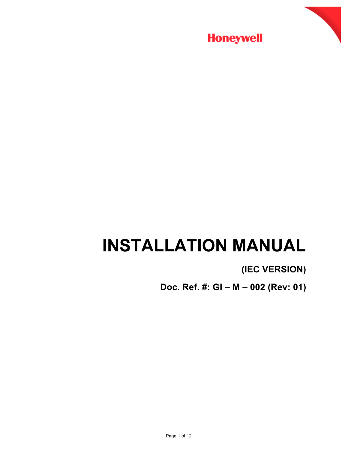

# **INSTALLATION MANUAL**

## **(IEC VERSION)**

**Doc. Ref. #: GI – M – 002 (Rev: 01)**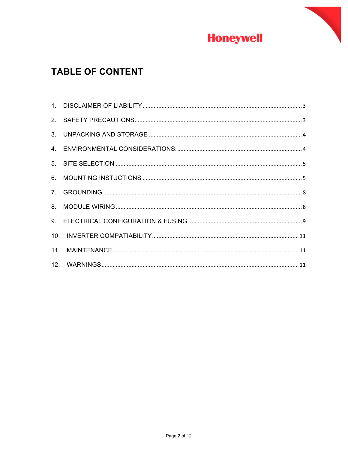

### **TABLE OF CONTENT**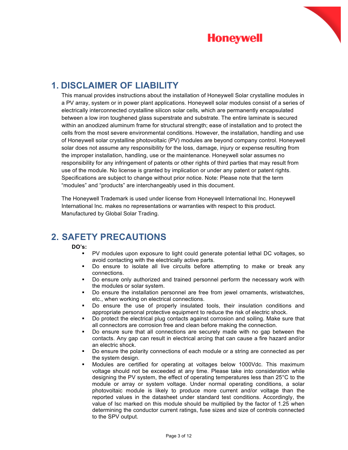

### **1. DISCLAIMER OF LIABILITY**

This manual provides instructions about the installation of Honeywell Solar crystalline modules in a PV array, system or in power plant applications. Honeywell solar modules consist of a series of electrically interconnected crystalline silicon solar cells, which are permanently encapsulated between a low iron toughened glass superstrate and substrate. The entire laminate is secured within an anodized aluminum frame for structural strength; ease of installation and to protect the cells from the most severe environmental conditions. However, the installation, handling and use of Honeywell solar crystalline photovoltaic (PV) modules are beyond company control. Honeywell solar does not assume any responsibility for the loss, damage, injury or expense resulting from the improper installation, handling, use or the maintenance. Honeywell solar assumes no responsibility for any infringement of patents or other rights of third parties that may result from use of the module. No license is granted by implication or under any patent or patent rights. Specifications are subject to change without prior notice. Note: Please note that the term "modules" and "products" are interchangeably used in this document.

**Honeywell** 

The Honeywell Trademark is used under license from Honeywell International Inc. Honeywell International Inc. makes no representations or warranties with respect to this product. Manufactured by Global Solar Trading.

### **2. SAFETY PRECAUTIONS**

#### **DO's:**

- PV modules upon exposure to light could generate potential lethal DC voltages, so avoid contacting with the electrically active parts.
- § Do ensure to isolate all live circuits before attempting to make or break any connections.
- Do ensure only authorized and trained personnel perform the necessary work with the modules or solar system.
- § Do ensure the installation personnel are free from jewel ornaments, wristwatches, etc., when working on electrical connections.
- § Do ensure the use of properly insulated tools, their insulation conditions and appropriate personal protective equipment to reduce the risk of electric shock.
- Do protect the electrical plug contacts against corrosion and soiling. Make sure that all connectors are corrosion free and clean before making the connection.
- Do ensure sure that all connections are securely made with no gap between the contacts. Any gap can result in electrical arcing that can cause a fire hazard and/or an electric shock.
- § Do ensure the polarity connections of each module or a string are connected as per the system design.
- § Modules are certified for operating at voltages below 1000Vdc. This maximum voltage should not be exceeded at any time. Please take into consideration while designing the PV system, the effect of operating temperatures less than 25°C to the module or array or system voltage. Under normal operating conditions, a solar photovoltaic module is likely to produce more current and/or voltage than the reported values in the datasheet under standard test conditions. Accordingly, the value of Isc marked on this module should be multiplied by the factor of 1.25 when determining the conductor current ratings, fuse sizes and size of controls connected to the SPV output.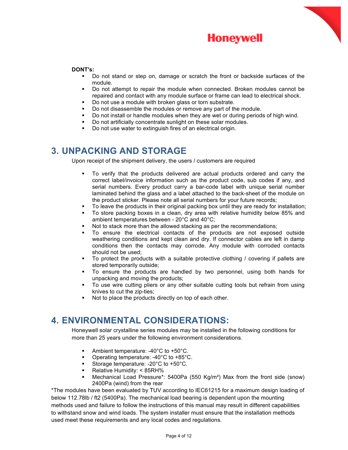

#### **DONT's:**

§ Do not stand or step on, damage or scratch the front or backside surfaces of the module.

**Honeywell** 

- § Do not attempt to repair the module when connected. Broken modules cannot be repaired and contact with any module surface or frame can lead to electrical shock.
- Do not use a module with broken glass or torn substrate.
- Do not disassemble the modules or remove any part of the module.
- § Do not install or handle modules when they are wet or during periods of high wind.
- Do not artificially concentrate sunlight on these solar modules.
- Do not use water to extinguish fires of an electrical origin.

### **3. UNPACKING AND STORAGE**

Upon receipt of the shipment delivery, the users / customers are required

- § To verify that the products delivered are actual products ordered and carry the correct label/invoice information such as the product code, sub codes if any, and serial numbers. Every product carry a bar-code label with unique serial number laminated behind the glass and a label attached to the back-sheet of the module on the product sticker. Please note all serial numbers for your future records;
- To leave the products in their original packing box until they are ready for installation;
- § To store packing boxes in a clean, dry area with relative humidity below 85% and ambient temperatures between - 20°C and 40°C;
- Not to stack more than the allowed stacking as per the recommendations;
- § To ensure the electrical contacts of the products are not exposed outside weathering conditions and kept clean and dry. If connector cables are left in damp conditions then the contacts may corrode. Any module with corroded contacts should not be used;
- § To protect the products with a suitable protective clothing / covering if pallets are stored temporarily outside;
- To ensure the products are handled by two personnel, using both hands for unpacking and moving the products;
- § To use wire cutting pliers or any other suitable cutting tools but refrain from using knives to cut the zip-ties;
- Not to place the products directly on top of each other.

### **4. ENVIRONMENTAL CONSIDERATIONS:**

Honeywell solar crystalline series modules may be installed in the following conditions for more than 25 years under the following environment considerations.

- § Ambient temperature: -40°C to +50°C.
- § Operating temperature: -40°C to +85°C.
- Storage temperature: -20°C to +50°C.
- Relative Humidity: < 85RH%
- § Mechanical Load Pressure\*: 5400Pa (550 Kg/m²) Max from the front side (snow) 2400Pa (wind) from the rear

\*The modules have been evaluated by TUV according to IEC61215 for a maximum design loading of below 112.78lb / ft2 (5400Pa). The mechanical load bearing is dependent upon the mounting methods used and failure to follow the instructions of this manual may result in different capabilities to withstand snow and wind loads. The system installer must ensure that the installation methods used meet these requirements and any local codes and regulations.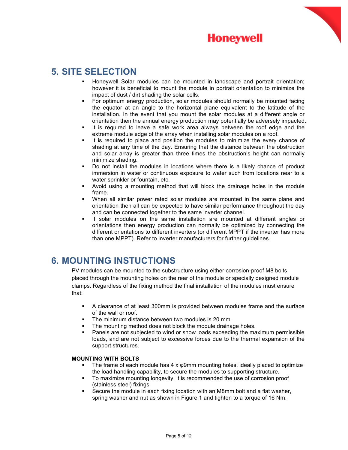

### **5. SITE SELECTION**

§ Honeywell Solar modules can be mounted in landscape and portrait orientation; however it is beneficial to mount the module in portrait orientation to minimize the impact of dust / dirt shading the solar cells.

**Honeywell** 

- For optimum energy production, solar modules should normally be mounted facing the equator at an angle to the horizontal plane equivalent to the latitude of the installation. In the event that you mount the solar modules at a different angle or orientation then the annual energy production may potentially be adversely impacted.
- It is required to leave a safe work area always between the roof edge and the extreme module edge of the array when installing solar modules on a roof.
- It is required to place and position the modules to minimize the every chance of shading at any time of the day. Ensuring that the distance between the obstruction and solar array is greater than three times the obstruction's height can normally minimize shading.
- § Do not install the modules in locations where there is a likely chance of product immersion in water or continuous exposure to water such from locations near to a water sprinkler or fountain, etc.
- § Avoid using a mounting method that will block the drainage holes in the module frame.
- When all similar power rated solar modules are mounted in the same plane and orientation then all can be expected to have similar performance throughout the day and can be connected together to the same inverter channel.
- § If solar modules on the same installation are mounted at different angles or orientations then energy production can normally be optimized by connecting the different orientations to different inverters (or different MPPT if the inverter has more than one MPPT). Refer to inverter manufacturers for further guidelines.

### **6. MOUNTING INSTUCTIONS**

PV modules can be mounted to the substructure using either corrosion-proof M8 bolts placed through the mounting holes on the rear of the module or specially designed module clamps. Regardless of the fixing method the final installation of the modules must ensure that:

- § A clearance of at least 300mm is provided between modules frame and the surface of the wall or roof.
- The minimum distance between two modules is 20 mm.
- The mounting method does not block the module drainage holes.
- Panels are not subjected to wind or snow loads exceeding the maximum permissible loads, and are not subject to excessive forces due to the thermal expansion of the support structures.

#### **MOUNTING WITH BOLTS**

- The frame of each module has  $4 \times \varphi 9$ mm mounting holes, ideally placed to optimize the load handling capability, to secure the modules to supporting structure.
- § To maximize mounting longevity, it is recommended the use of corrosion proof (stainless steel) fixings
- Secure the module in each fixing location with an M8mm bolt and a flat washer. spring washer and nut as shown in Figure 1 and tighten to a torque of 16 Nm.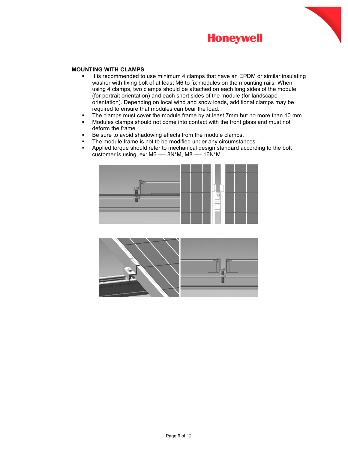

#### **MOUNTING WITH CLAMPS**

**•** It is recommended to use minimum 4 clamps that have an EPDM or similar insulating washer with fixing bolt of at least M6 to fix modules on the mounting rails. When using 4 clamps, two clamps should be attached on each long sides of the module (for portrait orientation) and each short sides of the module (for landscape orientation). Depending on local wind and snow loads, additional clamps may be required to ensure that modules can bear the load.

**Honeywell** 

- The clamps must cover the module frame by at least 7mm but no more than 10 mm.
- Modules clamps should not come into contact with the front glass and must not deform the frame.
- Be sure to avoid shadowing effects from the module clamps.
- **•** The module frame is not to be modified under any circumstances.
- § Applied torque should refer to mechanical design standard according to the bolt customer is using, ex: M6 ---- 8N\*M, M8 ---- 16N\*M.



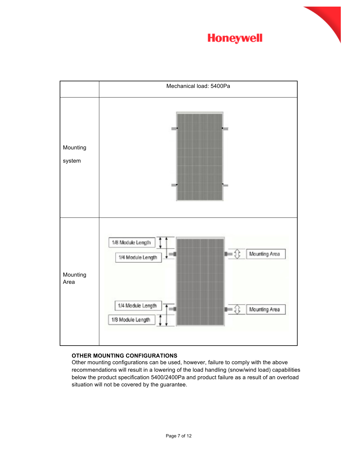





#### **OTHER MOUNTING CONFIGURATIONS**

Other mounting configurations can be used, however, failure to comply with the above recommendations will result in a lowering of the load handling (snow/wind load) capabilities below the product specification 5400/2400Pa and product failure as a result of an overload situation will not be covered by the guarantee.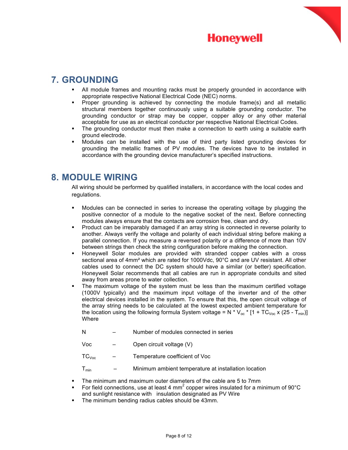

### **7. GROUNDING**

- All module frames and mounting racks must be properly grounded in accordance with appropriate respective National Electrical Code (NEC) norms.
- Proper grounding is achieved by connecting the module frame(s) and all metallic structural members together continuously using a suitable grounding conductor. The grounding conductor or strap may be copper, copper alloy or any other material acceptable for use as an electrical conductor per respective National Electrical Codes.
- The grounding conductor must then make a connection to earth using a suitable earth ground electrode.
- § Modules can be installed with the use of third party listed grounding devices for grounding the metallic frames of PV modules. The devices have to be installed in accordance with the grounding device manufacturer's specified instructions.

### **8. MODULE WIRING**

All wiring should be performed by qualified installers, in accordance with the local codes and regulations.

- Modules can be connected in series to increase the operating voltage by plugging the positive connector of a module to the negative socket of the next. Before connecting modules always ensure that the contacts are corrosion free, clean and dry.
- Product can be irreparably damaged if an array string is connected in reverse polarity to another. Always verify the voltage and polarity of each individual string before making a parallel connection. If you measure a reversed polarity or a difference of more than 10V between strings then check the string configuration before making the connection.
- § Honeywell Solar modules are provided with stranded copper cables with a cross sectional area of 4mm² which are rated for 1000Vdc, 90°C and are UV resistant. All other cables used to connect the DC system should have a similar (or better) specification. Honeywell Solar recommends that all cables are run in appropriate conduits and sited away from areas prone to water collection.
- § The maximum voltage of the system must be less than the maximum certified voltage (1000V typically) and the maximum input voltage of the inverter and of the other electrical devices installed in the system. To ensure that this, the open circuit voltage of the array string needs to be calculated at the lowest expected ambient temperature for the location using the following formula System voltage = N  $*V_{oc}$  \* [1 + TC<sub>Voc</sub> x (25 - T<sub>min</sub>)] Where
	- N Number of modules connected in series
	- Voc Open circuit voltage (V)
	- $TC<sub>Voc</sub>$  Temperature coefficient of Voc
	- $T_{\text{min}}$  Minimum ambient temperature at installation location
- The minimum and maximum outer diameters of the cable are 5 to 7mm
- For field connections, use at least 4 mm<sup>2</sup> copper wires insulated for a minimum of 90 $^{\circ}$ C and sunlight resistance with insulation designated as PV Wire
- The minimum bending radius cables should be 43mm.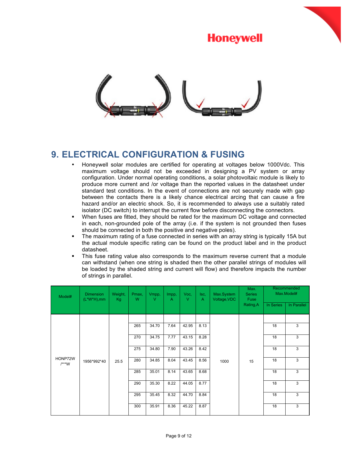



### **9. ELECTRICAL CONFIGURATION & FUSING**

- Honeywell solar modules are certified for operating at voltages below 1000Vdc. This maximum voltage should not be exceeded in designing a PV system or array configuration. Under normal operating conditions, a solar photovoltaic module is likely to produce more current and /or voltage than the reported values in the datasheet under standard test conditions. In the event of connections are not securely made with gap between the contacts there is a likely chance electrical arcing that can cause a fire hazard and/or an electric shock. So, it is recommended to always use a suitably rated isolator (DC switch) to interrupt the current flow before disconnecting the connectors.
- § When fuses are fitted, they should be rated for the maximum DC voltage and connected in each, non-grounded pole of the array (i.e. if the system is not grounded then fuses should be connected in both the positive and negative poles).
- The maximum rating of a fuse connected in series with an array string is typically 15A but the actual module specific rating can be found on the product label and in the product datasheet.
- This fuse rating value also corresponds to the maximum reverse current that a module can withstand (when one string is shaded then the other parallel strings of modules will be loaded by the shaded string and current will flow) and therefore impacts the number of strings in parallel.

| Model#             | <b>Dimension</b><br>$(L^*W^*H)$ , mm | Weight,<br>Kg | Pmax,<br>W | Vmpp,<br>V | Impp,<br>A | Voc.<br>V | Isc,<br>A | Max.System<br>Voltage, VDC | Max.<br><b>Series</b><br><b>Fuse</b><br>Rating, A | Recommended<br>Max.Model# |             |
|--------------------|--------------------------------------|---------------|------------|------------|------------|-----------|-----------|----------------------------|---------------------------------------------------|---------------------------|-------------|
|                    |                                      |               |            |            |            |           |           |                            |                                                   | In Series                 | In Parallel |
|                    | 1956*992*40                          | 25.5          |            |            |            |           |           | 1000                       | 15                                                |                           |             |
|                    |                                      |               | 265        | 34.70      | 7.64       | 42.95     | 8.13      |                            |                                                   | 18                        | 3           |
|                    |                                      |               | 270        | 34.75      | 7.77       | 43.15     | 8.28      |                            |                                                   | 18                        | 3           |
|                    |                                      |               | 275        | 34.80      | 7.90       | 43.26     | 8.42      |                            |                                                   | 18                        | 3           |
| HONP72W<br>$/***W$ |                                      |               | 280        | 34.85      | 8.04       | 43.45     | 8.56      |                            |                                                   | 18                        | 3           |
|                    |                                      |               | 285        | 35.01      | 8.14       | 43.65     | 8.68      |                            |                                                   | 18                        | 3           |
|                    |                                      |               | 290        | 35.30      | 8.22       | 44.05     | 8.77      |                            |                                                   | 18                        | 3           |
|                    |                                      |               | 295        | 35.45      | 8.32       | 44.70     | 8.84      |                            |                                                   | 18                        | 3           |
|                    |                                      |               | 300        | 35.91      | 8.36       | 45.22     | 8.87      |                            |                                                   | 18                        | 3           |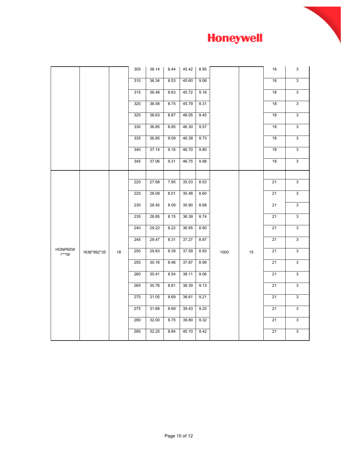

|                    |             |    | 305 | 36.14 | 8.44 | 45.42 | 8.95 |      |    | 18 | 3            |
|--------------------|-------------|----|-----|-------|------|-------|------|------|----|----|--------------|
|                    |             |    | 310 | 36.34 | 8.53 | 45.60 | 9.06 |      |    | 18 | 3            |
|                    |             |    | 315 | 36.48 | 8.63 | 45.72 | 9.18 |      |    | 18 | 3            |
|                    |             |    | 320 | 36.58 | 8.75 | 45.79 | 9.31 |      |    | 18 | 3            |
|                    |             |    | 325 | 36.63 | 8.87 | 46.05 | 9.45 |      |    | 18 | 3            |
|                    |             |    | 330 | 36.85 | 8.95 | 46.30 | 9.57 |      |    | 18 | 3            |
|                    |             |    | 335 | 36.85 | 9.09 | 46.39 | 9.73 |      |    | 18 | 3            |
|                    |             |    | 340 | 37.14 | 9.16 | 46.70 | 9.80 |      |    | 18 | $\mathbf{3}$ |
|                    |             |    | 345 | 37.06 | 9.31 | 46.75 | 9.98 |      |    | 18 | $\mathbf{3}$ |
|                    |             |    |     |       |      |       |      |      |    |    |              |
|                    |             |    | 220 | 27.68 | 7.95 | 35.03 | 8.53 |      |    | 21 | 3            |
|                    |             |    | 225 | 28.09 | 8.01 | 35.48 | 8.60 |      |    | 21 | 3            |
|                    |             |    | 230 | 28.45 | 8.09 | 35.90 | 8.68 |      |    | 21 | 3            |
|                    |             |    | 235 | 28.85 | 8.15 | 36.39 | 8.74 |      |    | 21 | 3            |
|                    |             |    | 240 | 29.22 | 8.22 | 36.85 | 8.80 |      |    | 21 | 3            |
|                    |             |    | 245 | 29.47 | 8.31 | 37.27 | 8.87 |      |    | 21 | 3            |
| HONP60W<br>$/***W$ | 1636*992*35 | 18 | 250 | 29.83 | 8.39 | 37.59 | 8.93 | 1000 | 15 | 21 | 3            |
|                    |             |    | 255 | 30.16 | 8.46 | 37.87 | 8.99 |      |    | 21 | 3            |
|                    |             |    | 260 | 30.41 | 8.54 | 38.11 | 9.06 |      |    | 21 | 3            |
|                    |             |    | 265 | 30.76 | 8.61 | 38.39 | 9.13 |      |    | 21 | $\mathbf{3}$ |
|                    |             |    | 270 | 31.05 | 8.69 | 38.61 | 9.21 |      |    | 21 | 3            |
|                    |             |    | 275 | 31.68 | 8.69 | 39.43 | 9.25 |      |    | 21 | 3            |
|                    |             |    | 280 | 32.00 | 8.75 | 39.80 | 9.32 |      |    | 21 | 3            |
|                    |             |    | 285 | 32.25 | 8.84 | 40.10 | 9.42 |      |    | 21 | 3            |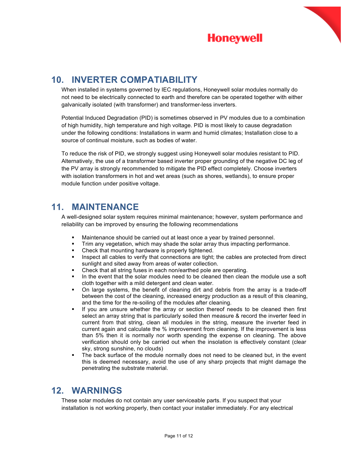

### **10. INVERTER COMPATIABILITY**

When installed in systems governed by IEC regulations, Honeywell solar modules normally do not need to be electrically connected to earth and therefore can be operated together with either galvanically isolated (with transformer) and transformer-less inverters.

**Honeywell** 

Potential Induced Degradation (PID) is sometimes observed in PV modules due to a combination of high humidity, high temperature and high voltage. PID is most likely to cause degradation under the following conditions: Installations in warm and humid climates; Installation close to a source of continual moisture, such as bodies of water.

To reduce the risk of PID, we strongly suggest using Honeywell solar modules resistant to PID. Alternatively, the use of a transformer based inverter proper grounding of the negative DC leg of the PV array is strongly recommended to mitigate the PID effect completely. Choose inverters with isolation transformers in hot and wet areas (such as shores, wetlands), to ensure proper module function under positive voltage.

### **11. MAINTENANCE**

A well-designed solar system requires minimal maintenance; however, system performance and reliability can be improved by ensuring the following recommendations

- **■** Maintenance should be carried out at least once a year by trained personnel.
- Trim any vegetation, which may shade the solar array thus impacting performance.
- Check that mounting hardware is properly tightened.
- **•** Inspect all cables to verify that connections are tight; the cables are protected from direct sunlight and sited away from areas of water collection.
- Check that all string fuses in each non/earthed pole are operating.
- In the event that the solar modules need to be cleaned then clean the module use a soft cloth together with a mild detergent and clean water.
- On large systems, the benefit of cleaning dirt and debris from the array is a trade-off between the cost of the cleaning, increased energy production as a result of this cleaning, and the time for the re-soiling of the modules after cleaning.
- § If you are unsure whether the array or section thereof needs to be cleaned then first select an array string that is particularly soiled then measure & record the inverter feed in current from that string, clean all modules in the string, measure the inverter feed in current again and calculate the % improvement from cleaning. If the improvement is less than 5% then it is normally nor worth spending the expense on cleaning. The above verification should only be carried out when the insolation is effectively constant (clear sky, strong sunshine, no clouds)
- The back surface of the module normally does not need to be cleaned but, in the event this is deemed necessary, avoid the use of any sharp projects that might damage the penetrating the substrate material.

### **12. WARNINGS**

These solar modules do not contain any user serviceable parts. If you suspect that your installation is not working properly, then contact your installer immediately. For any electrical